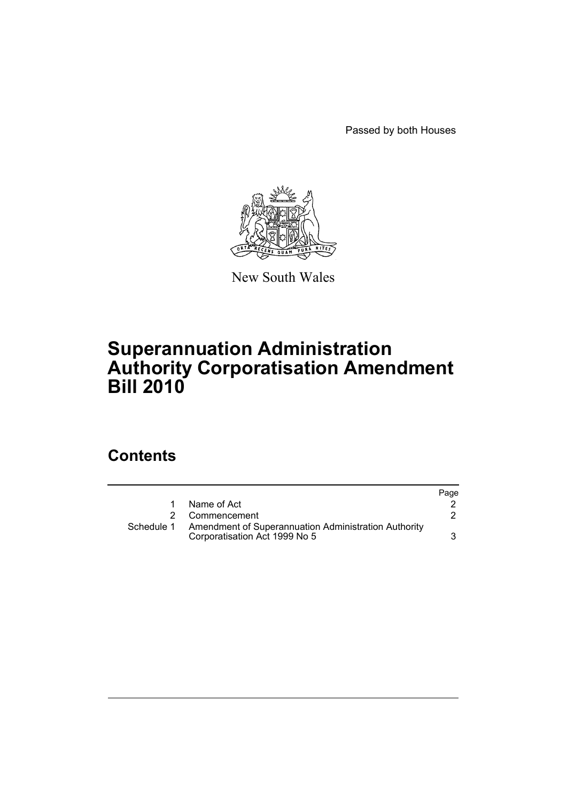Passed by both Houses



New South Wales

## **Superannuation Administration Authority Corporatisation Amendment Bill 2010**

## **Contents**

|            |                                                                                       | Page |
|------------|---------------------------------------------------------------------------------------|------|
| 1.         | Name of Act                                                                           |      |
|            | 2 Commencement                                                                        |      |
| Schedule 1 | Amendment of Superannuation Administration Authority<br>Corporatisation Act 1999 No 5 |      |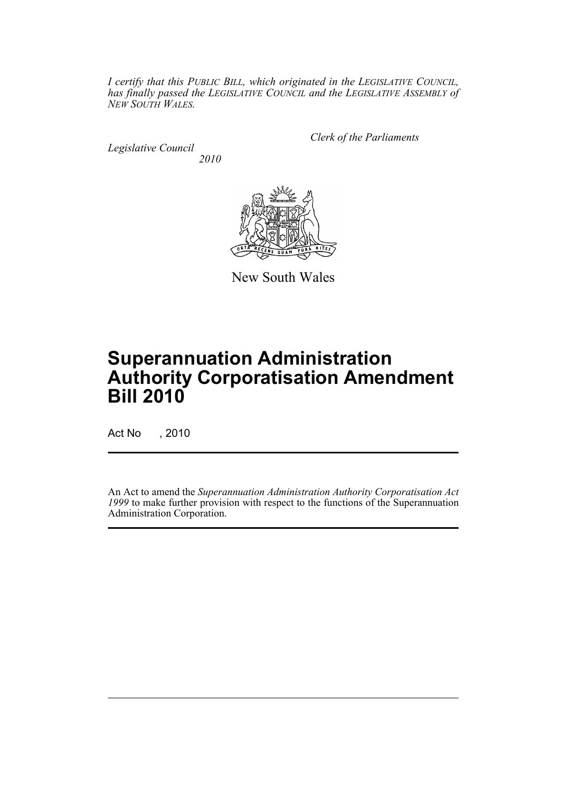*I certify that this PUBLIC BILL, which originated in the LEGISLATIVE COUNCIL, has finally passed the LEGISLATIVE COUNCIL and the LEGISLATIVE ASSEMBLY of NEW SOUTH WALES.*

*Legislative Council 2010* *Clerk of the Parliaments*



New South Wales

# **Superannuation Administration Authority Corporatisation Amendment Bill 2010**

Act No , 2010

An Act to amend the *Superannuation Administration Authority Corporatisation Act 1999* to make further provision with respect to the functions of the Superannuation Administration Corporation.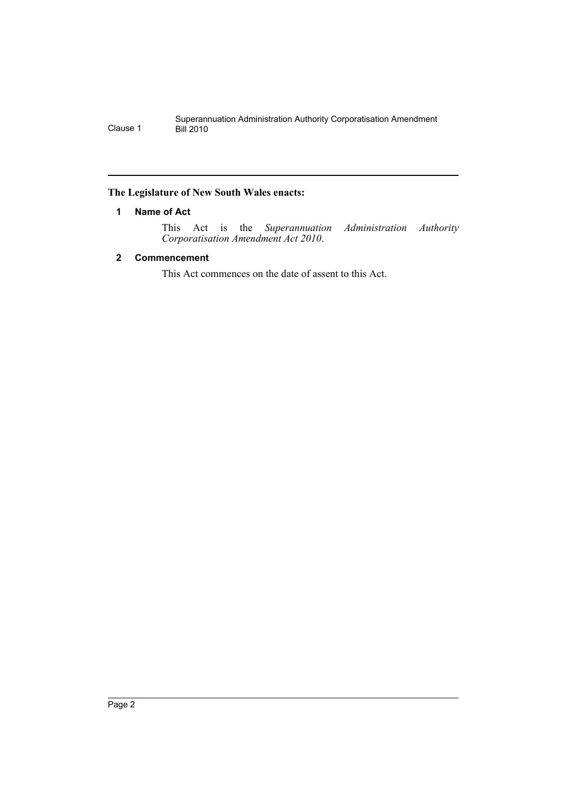## <span id="page-2-0"></span>**The Legislature of New South Wales enacts:**

## **1 Name of Act**

This Act is the *Superannuation Administration Authority Corporatisation Amendment Act 2010*.

## <span id="page-2-1"></span>**2 Commencement**

This Act commences on the date of assent to this Act.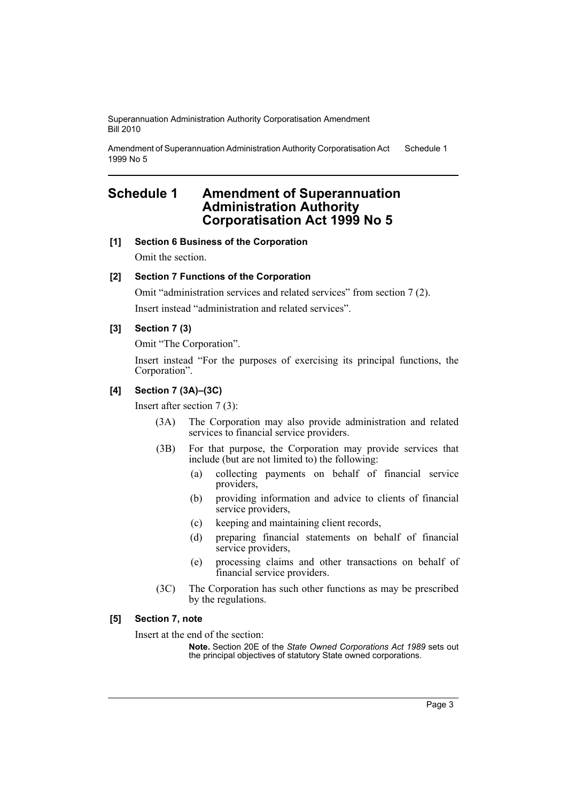Superannuation Administration Authority Corporatisation Amendment Bill 2010

Amendment of Superannuation Administration Authority Corporatisation Act 1999 No 5 Schedule 1

## <span id="page-3-0"></span>**Schedule 1 Amendment of Superannuation Administration Authority Corporatisation Act 1999 No 5**

**[1] Section 6 Business of the Corporation**

Omit the section.

## **[2] Section 7 Functions of the Corporation**

Omit "administration services and related services" from section 7 (2). Insert instead "administration and related services".

## **[3] Section 7 (3)**

Omit "The Corporation".

Insert instead "For the purposes of exercising its principal functions, the Corporation".

### **[4] Section 7 (3A)–(3C)**

Insert after section 7 (3):

- (3A) The Corporation may also provide administration and related services to financial service providers.
- (3B) For that purpose, the Corporation may provide services that include (but are not limited to) the following:
	- (a) collecting payments on behalf of financial service providers,
	- (b) providing information and advice to clients of financial service providers,
	- (c) keeping and maintaining client records,
	- (d) preparing financial statements on behalf of financial service providers,
	- (e) processing claims and other transactions on behalf of financial service providers.
- (3C) The Corporation has such other functions as may be prescribed by the regulations.

#### **[5] Section 7, note**

Insert at the end of the section:

**Note.** Section 20E of the *State Owned Corporations Act 1989* sets out the principal objectives of statutory State owned corporations.